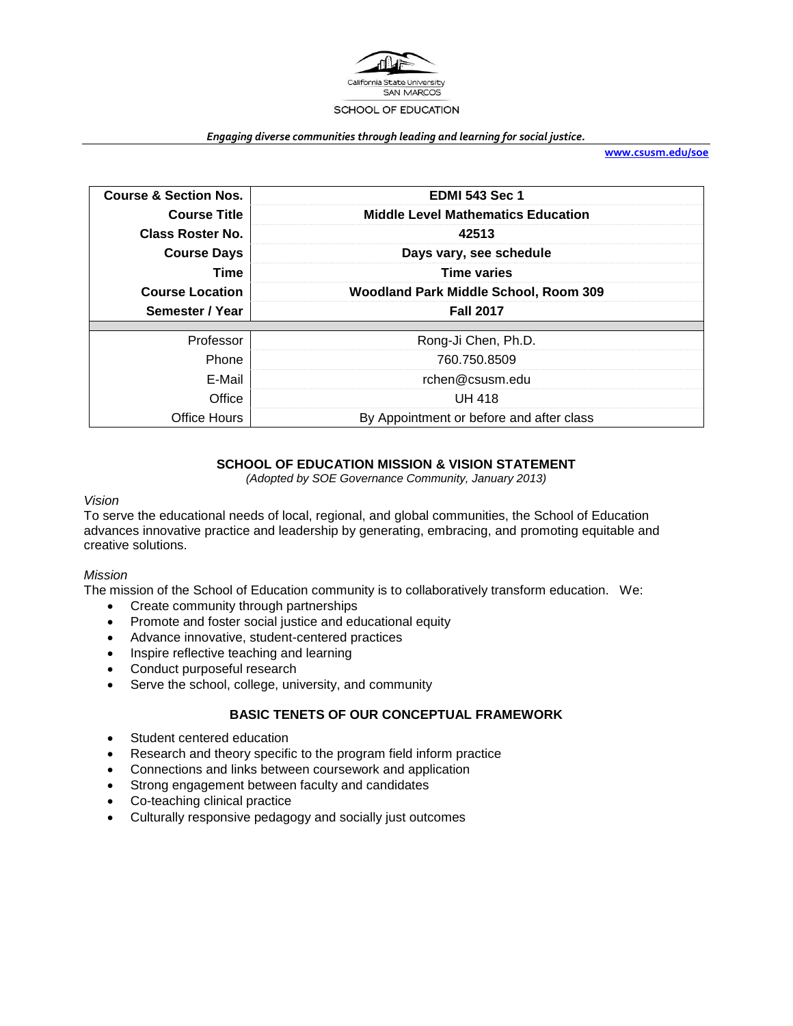

#### *Engaging diverse communities through leading and learning for social justice.*

**[www.csusm.edu/soe](http://www.csusm.edu/soe)**

| <b>Course &amp; Section Nos.</b>                                 | <b>EDMI 543 Sec 1</b>                                     |  |
|------------------------------------------------------------------|-----------------------------------------------------------|--|
| <b>Middle Level Mathematics Education</b><br><b>Course Title</b> |                                                           |  |
| Class Roster No.                                                 | 42513                                                     |  |
| Days vary, see schedule<br><b>Course Days</b>                    |                                                           |  |
| Time                                                             | <b>Time varies</b>                                        |  |
| <b>Course Location</b>                                           | Woodland Park Middle School, Room 309                     |  |
|                                                                  |                                                           |  |
| Semester / Year                                                  | <b>Fall 2017</b>                                          |  |
|                                                                  |                                                           |  |
| Professor                                                        | Rong-Ji Chen, Ph.D.                                       |  |
| Phone                                                            | 760.750.8509                                              |  |
| E-Mail                                                           | rchen@csusm.edu                                           |  |
| Office<br>Office Hours                                           | <b>UH 418</b><br>By Appointment or before and after class |  |

## **SCHOOL OF EDUCATION MISSION & VISION STATEMENT**

*(Adopted by SOE Governance Community, January 2013)*

### *Vision*

To serve the educational needs of local, regional, and global communities, the School of Education advances innovative practice and leadership by generating, embracing, and promoting equitable and creative solutions.

### *Mission*

The mission of the School of Education community is to collaboratively transform education. We:

- Create community through partnerships
- Promote and foster social justice and educational equity
- Advance innovative, student-centered practices
- Inspire reflective teaching and learning
- Conduct purposeful research
- Serve the school, college, university, and community

## **BASIC TENETS OF OUR CONCEPTUAL FRAMEWORK**

- Student centered education
- Research and theory specific to the program field inform practice
- Connections and links between coursework and application
- Strong engagement between faculty and candidates
- Co-teaching clinical practice
- Culturally responsive pedagogy and socially just outcomes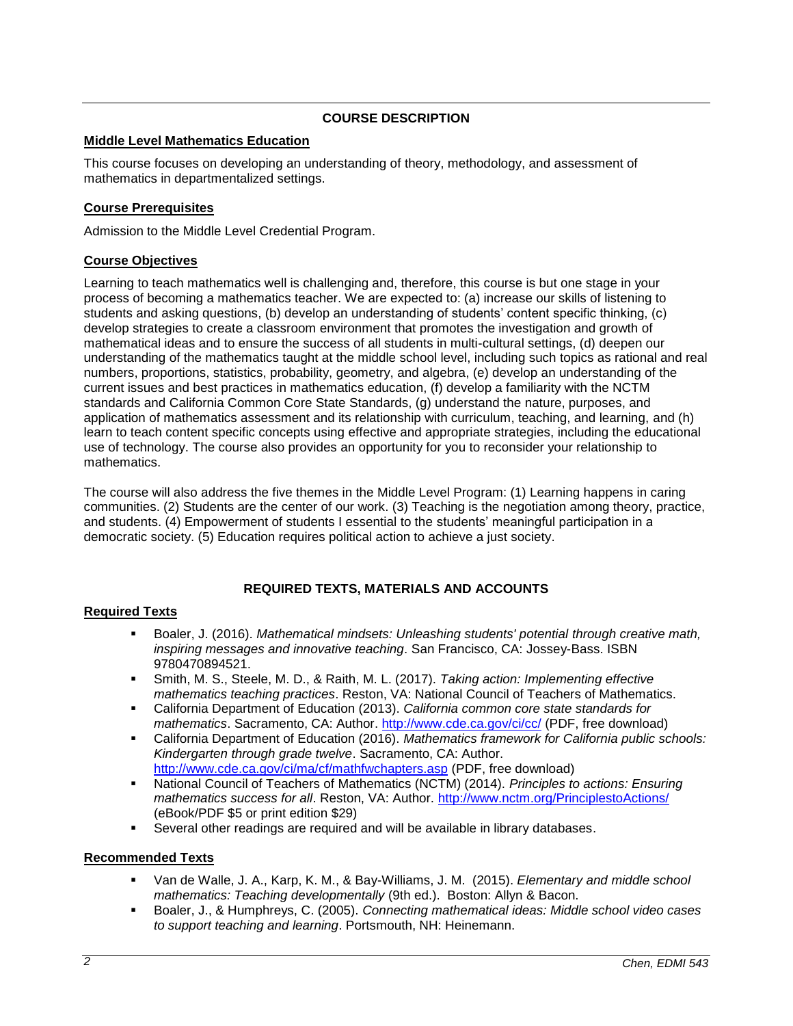## **COURSE DESCRIPTION**

### **Middle Level Mathematics Education**

This course focuses on developing an understanding of theory, methodology, and assessment of mathematics in departmentalized settings.

## **Course Prerequisites**

Admission to the Middle Level Credential Program.

## **Course Objectives**

Learning to teach mathematics well is challenging and, therefore, this course is but one stage in your process of becoming a mathematics teacher. We are expected to: (a) increase our skills of listening to students and asking questions, (b) develop an understanding of students' content specific thinking, (c) develop strategies to create a classroom environment that promotes the investigation and growth of mathematical ideas and to ensure the success of all students in multi-cultural settings, (d) deepen our understanding of the mathematics taught at the middle school level, including such topics as rational and real numbers, proportions, statistics, probability, geometry, and algebra, (e) develop an understanding of the current issues and best practices in mathematics education, (f) develop a familiarity with the NCTM standards and California Common Core State Standards, (g) understand the nature, purposes, and application of mathematics assessment and its relationship with curriculum, teaching, and learning, and (h) learn to teach content specific concepts using effective and appropriate strategies, including the educational use of technology. The course also provides an opportunity for you to reconsider your relationship to mathematics.

The course will also address the five themes in the Middle Level Program: (1) Learning happens in caring communities. (2) Students are the center of our work. (3) Teaching is the negotiation among theory, practice, and students. (4) Empowerment of students I essential to the students' meaningful participation in a democratic society. (5) Education requires political action to achieve a just society.

# **REQUIRED TEXTS, MATERIALS AND ACCOUNTS**

## **Required Texts**

- Boaler, J. (2016). *Mathematical mindsets: Unleashing students' potential through creative math, inspiring messages and innovative teaching*. San Francisco, CA: Jossey-Bass. ISBN 9780470894521.
- Smith, M. S., Steele, M. D., & Raith, M. L. (2017). *Taking action: Implementing effective mathematics teaching practices*. Reston, VA: National Council of Teachers of Mathematics.
- California Department of Education (2013). *California common core state standards for mathematics*. Sacramento, CA: Author.<http://www.cde.ca.gov/ci/cc/> (PDF, free download)
- California Department of Education (2016). *Mathematics framework for California public schools: Kindergarten through grade twelve*. Sacramento, CA: Author. <http://www.cde.ca.gov/ci/ma/cf/mathfwchapters.asp> (PDF, free download)
- National Council of Teachers of Mathematics (NCTM) (2014). *Principles to actions: Ensuring mathematics success for all*. Reston, VA: Author.<http://www.nctm.org/PrinciplestoActions/> (eBook/PDF \$5 or print edition \$29)
- Several other readings are required and will be available in library databases.

## **Recommended Texts**

- Van de Walle, J. A., Karp, K. M., & Bay-Williams, J. M. (2015). *Elementary and middle school mathematics: Teaching developmentally* (9th ed.). Boston: Allyn & Bacon.
- Boaler, J., & Humphreys, C. (2005). *Connecting mathematical ideas: Middle school video cases to support teaching and learning*. Portsmouth, NH: Heinemann.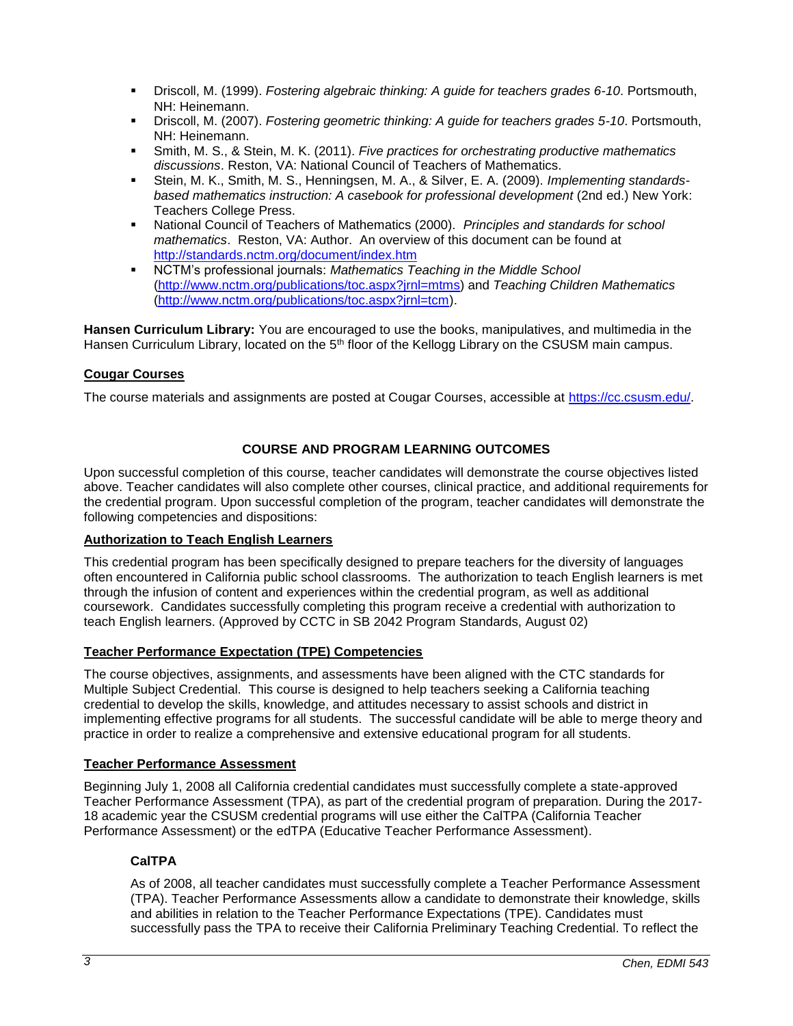- Driscoll, M. (1999). *Fostering algebraic thinking: A guide for teachers grades 6-10*. Portsmouth, NH: Heinemann.
- Driscoll, M. (2007). *Fostering geometric thinking: A guide for teachers grades 5-10*. Portsmouth, NH: Heinemann.
- Smith, M. S., & Stein, M. K. (2011). *Five practices for orchestrating productive mathematics discussions*. Reston, VA: National Council of Teachers of Mathematics.
- Stein, M. K., Smith, M. S., Henningsen, M. A., & Silver, E. A. (2009). *Implementing standardsbased mathematics instruction: A casebook for professional development* (2nd ed.) New York: Teachers College Press.
- National Council of Teachers of Mathematics (2000). *Principles and standards for school mathematics*. Reston, VA: Author. An overview of this document can be found at <http://standards.nctm.org/document/index.htm>
- NCTM's professional journals: *Mathematics Teaching in the Middle School* [\(http://www.nctm.org/publications/toc.aspx?jrnl=mtms\)](http://www.nctm.org/publications/toc.aspx?jrnl=mtms) and *Teaching Children Mathematics* [\(http://www.nctm.org/publications/toc.aspx?jrnl=tcm\)](http://www.nctm.org/publications/toc.aspx?jrnl=tcm).

**Hansen Curriculum Library:** You are encouraged to use the books, manipulatives, and multimedia in the Hansen Curriculum Library, located on the 5<sup>th</sup> floor of the Kellogg Library on the CSUSM main campus.

## **Cougar Courses**

The course materials and assignments are posted at Cougar Courses, accessible at [https://cc.csusm.edu/.](https://cc.csusm.edu/)

## **COURSE AND PROGRAM LEARNING OUTCOMES**

Upon successful completion of this course, teacher candidates will demonstrate the course objectives listed above. Teacher candidates will also complete other courses, clinical practice, and additional requirements for the credential program. Upon successful completion of the program, teacher candidates will demonstrate the following competencies and dispositions:

### **Authorization to Teach English Learners**

This credential program has been specifically designed to prepare teachers for the diversity of languages often encountered in California public school classrooms. The authorization to teach English learners is met through the infusion of content and experiences within the credential program, as well as additional coursework. Candidates successfully completing this program receive a credential with authorization to teach English learners. (Approved by CCTC in SB 2042 Program Standards, August 02)

### **Teacher Performance Expectation (TPE) Competencies**

The course objectives, assignments, and assessments have been aligned with the CTC standards for Multiple Subject Credential. This course is designed to help teachers seeking a California teaching credential to develop the skills, knowledge, and attitudes necessary to assist schools and district in implementing effective programs for all students. The successful candidate will be able to merge theory and practice in order to realize a comprehensive and extensive educational program for all students.

### **Teacher Performance Assessment**

Beginning July 1, 2008 all California credential candidates must successfully complete a state-approved Teacher Performance Assessment (TPA), as part of the credential program of preparation. During the 2017- 18 academic year the CSUSM credential programs will use either the CalTPA (California Teacher Performance Assessment) or the edTPA (Educative Teacher Performance Assessment).

### **CalTPA**

As of 2008, all teacher candidates must successfully complete a Teacher Performance Assessment (TPA). Teacher Performance Assessments allow a candidate to demonstrate their knowledge, skills and abilities in relation to the Teacher Performance Expectations (TPE). Candidates must successfully pass the TPA to receive their California Preliminary Teaching Credential. To reflect the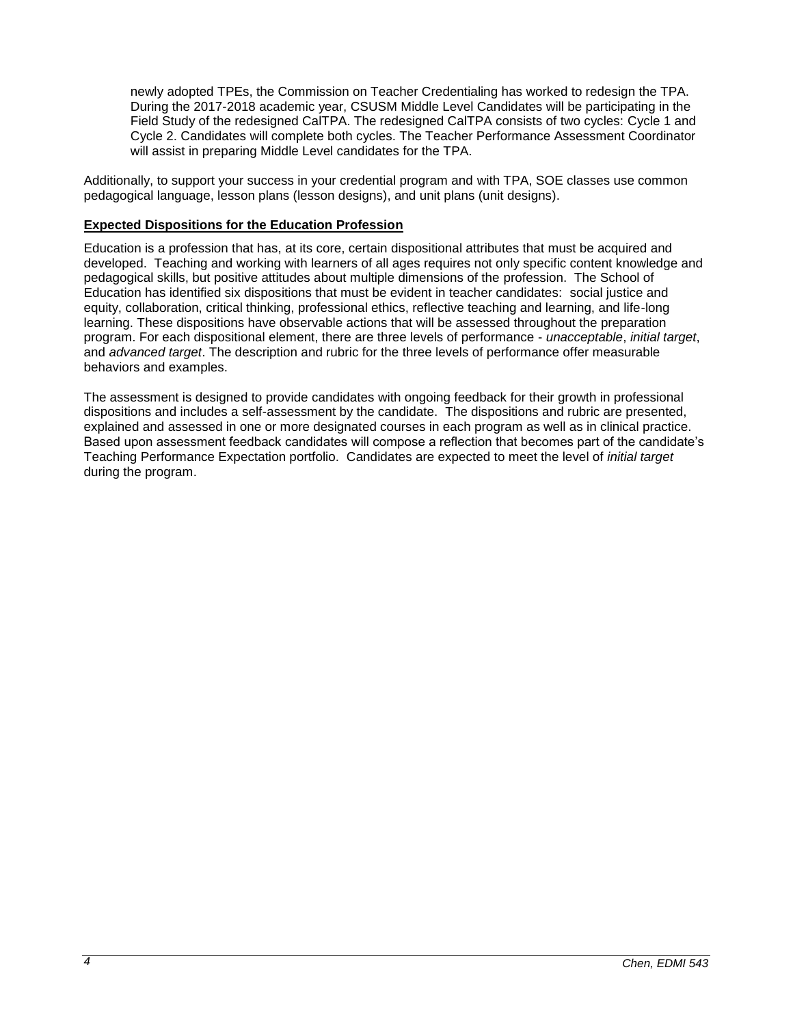newly adopted TPEs, the Commission on Teacher Credentialing has worked to redesign the TPA. During the 2017-2018 academic year, CSUSM Middle Level Candidates will be participating in the Field Study of the redesigned CalTPA. The redesigned CalTPA consists of two cycles: Cycle 1 and Cycle 2. Candidates will complete both cycles. The Teacher Performance Assessment Coordinator will assist in preparing Middle Level candidates for the TPA.

Additionally, to support your success in your credential program and with TPA, SOE classes use common pedagogical language, lesson plans (lesson designs), and unit plans (unit designs).

### **Expected Dispositions for the Education Profession**

Education is a profession that has, at its core, certain dispositional attributes that must be acquired and developed. Teaching and working with learners of all ages requires not only specific content knowledge and pedagogical skills, but positive attitudes about multiple dimensions of the profession. The School of Education has identified six dispositions that must be evident in teacher candidates: social justice and equity, collaboration, critical thinking, professional ethics, reflective teaching and learning, and life-long learning. These dispositions have observable actions that will be assessed throughout the preparation program. For each dispositional element, there are three levels of performance - *unacceptable*, *initial target*, and *advanced target*. The description and rubric for the three levels of performance offer measurable behaviors and examples.

The assessment is designed to provide candidates with ongoing feedback for their growth in professional dispositions and includes a self-assessment by the candidate. The dispositions and rubric are presented, explained and assessed in one or more designated courses in each program as well as in clinical practice. Based upon assessment feedback candidates will compose a reflection that becomes part of the candidate's Teaching Performance Expectation portfolio. Candidates are expected to meet the level of *initial target* during the program.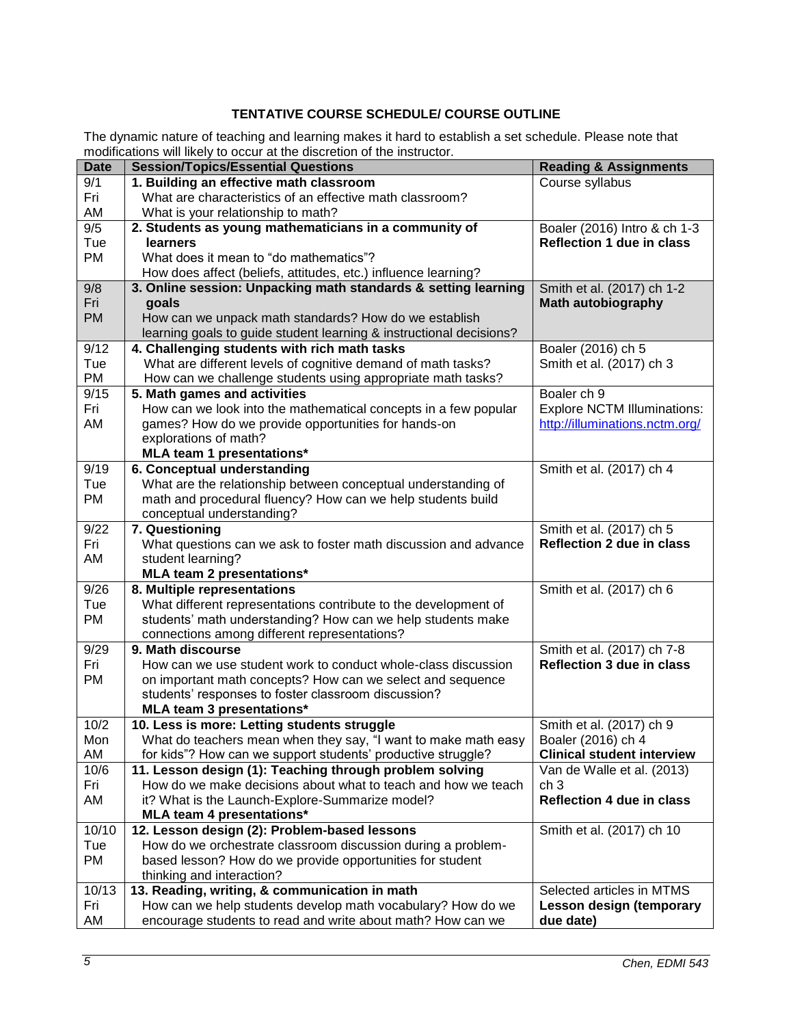# **TENTATIVE COURSE SCHEDULE/ COURSE OUTLINE**

The dynamic nature of teaching and learning makes it hard to establish a set schedule. Please note that modifications will likely to occur at the discretion of the instructor.

| <b>Date</b> | <b>Session/Topics/Essential Questions</b>                           | <b>Reading &amp; Assignments</b>   |
|-------------|---------------------------------------------------------------------|------------------------------------|
| 9/1         | 1. Building an effective math classroom                             | Course syllabus                    |
| Fri         | What are characteristics of an effective math classroom?            |                                    |
| AM          | What is your relationship to math?                                  |                                    |
| 9/5         | 2. Students as young mathematicians in a community of               | Boaler (2016) Intro & ch 1-3       |
| Tue         | learners                                                            | <b>Reflection 1 due in class</b>   |
| PM          | What does it mean to "do mathematics"?                              |                                    |
|             | How does affect (beliefs, attitudes, etc.) influence learning?      |                                    |
| 9/8         | 3. Online session: Unpacking math standards & setting learning      | Smith et al. (2017) ch 1-2         |
| Fri         | goals                                                               | <b>Math autobiography</b>          |
| <b>PM</b>   | How can we unpack math standards? How do we establish               |                                    |
|             | learning goals to guide student learning & instructional decisions? |                                    |
| 9/12        | 4. Challenging students with rich math tasks                        | Boaler (2016) ch 5                 |
| Tue         | What are different levels of cognitive demand of math tasks?        | Smith et al. (2017) ch 3           |
| PM          | How can we challenge students using appropriate math tasks?         |                                    |
| 9/15        | 5. Math games and activities                                        | Boaler ch 9                        |
| Fri         | How can we look into the mathematical concepts in a few popular     | <b>Explore NCTM Illuminations:</b> |
| AM          | games? How do we provide opportunities for hands-on                 | http://illuminations.nctm.org/     |
|             | explorations of math?                                               |                                    |
|             | MLA team 1 presentations*                                           |                                    |
| 9/19        | 6. Conceptual understanding                                         | Smith et al. (2017) ch 4           |
| Tue         | What are the relationship between conceptual understanding of       |                                    |
| PM          | math and procedural fluency? How can we help students build         |                                    |
|             | conceptual understanding?                                           |                                    |
| 9/22        | 7. Questioning                                                      | Smith et al. (2017) ch 5           |
| Fri         | What questions can we ask to foster math discussion and advance     | <b>Reflection 2 due in class</b>   |
| AM          | student learning?                                                   |                                    |
| 9/26        | MLA team 2 presentations*<br>8. Multiple representations            | Smith et al. (2017) ch 6           |
| Tue         | What different representations contribute to the development of     |                                    |
| PM          | students' math understanding? How can we help students make         |                                    |
|             | connections among different representations?                        |                                    |
| 9/29        | 9. Math discourse                                                   | Smith et al. (2017) ch 7-8         |
| Fri         | How can we use student work to conduct whole-class discussion       | <b>Reflection 3 due in class</b>   |
| PM          | on important math concepts? How can we select and sequence          |                                    |
|             | students' responses to foster classroom discussion?                 |                                    |
|             | MLA team 3 presentations*                                           |                                    |
| 10/2        | 10. Less is more: Letting students struggle                         | Smith et al. (2017) ch 9           |
| Mon         | What do teachers mean when they say, "I want to make math easy      | Boaler (2016) ch 4                 |
| AM          | for kids"? How can we support students' productive struggle?        | <b>Clinical student interview</b>  |
| 10/6        | 11. Lesson design (1): Teaching through problem solving             | Van de Walle et al. (2013)         |
| Fri         | How do we make decisions about what to teach and how we teach       | ch 3                               |
| AM          | it? What is the Launch-Explore-Summarize model?                     | <b>Reflection 4 due in class</b>   |
|             | MLA team 4 presentations*                                           |                                    |
| 10/10       | 12. Lesson design (2): Problem-based lessons                        | Smith et al. (2017) ch 10          |
| Tue         | How do we orchestrate classroom discussion during a problem-        |                                    |
| PM          | based lesson? How do we provide opportunities for student           |                                    |
|             | thinking and interaction?                                           |                                    |
| 10/13       | 13. Reading, writing, & communication in math                       | Selected articles in MTMS          |
| Fri         | How can we help students develop math vocabulary? How do we         | <b>Lesson design (temporary</b>    |
| AM          | encourage students to read and write about math? How can we         | due date)                          |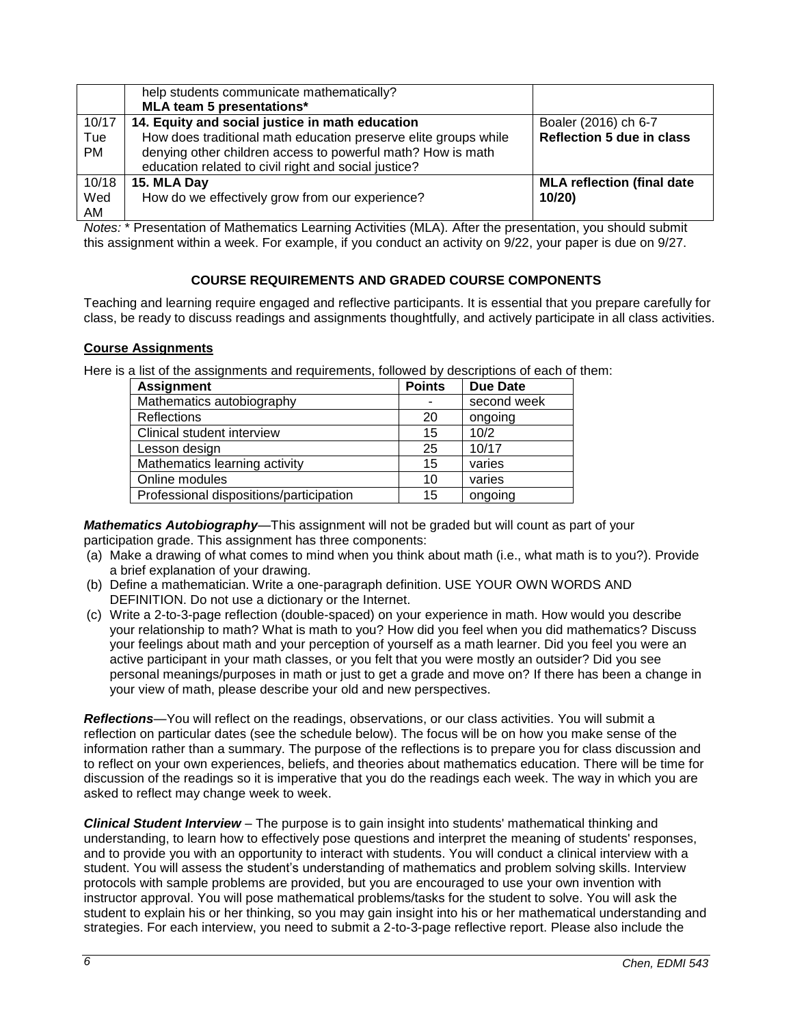|           | help students communicate mathematically?                       |                                   |
|-----------|-----------------------------------------------------------------|-----------------------------------|
|           | MLA team 5 presentations*                                       |                                   |
| 10/17     | 14. Equity and social justice in math education                 | Boaler (2016) ch 6-7              |
| Tue       | How does traditional math education preserve elite groups while | <b>Reflection 5 due in class</b>  |
| <b>PM</b> | denying other children access to powerful math? How is math     |                                   |
|           | education related to civil right and social justice?            |                                   |
| 10/18     | 15. MLA Day                                                     | <b>MLA reflection (final date</b> |
| Wed       | How do we effectively grow from our experience?                 | 10/20                             |
| AM        |                                                                 |                                   |

*Notes:* \* Presentation of Mathematics Learning Activities (MLA)*.* After the presentation, you should submit this assignment within a week. For example, if you conduct an activity on 9/22, your paper is due on 9/27.

## **COURSE REQUIREMENTS AND GRADED COURSE COMPONENTS**

Teaching and learning require engaged and reflective participants. It is essential that you prepare carefully for class, be ready to discuss readings and assignments thoughtfully, and actively participate in all class activities.

## **Course Assignments**

Here is a list of the assignments and requirements, followed by descriptions of each of them:

| <b>Assignment</b>                       | <b>Points</b> | <b>Due Date</b> |
|-----------------------------------------|---------------|-----------------|
| Mathematics autobiography               |               | second week     |
| <b>Reflections</b>                      | 20            | ongoing         |
| Clinical student interview              | 15            | 10/2            |
| Lesson design                           | 25            | 10/17           |
| Mathematics learning activity           | 15            | varies          |
| Online modules                          | 10            | varies          |
| Professional dispositions/participation | 15            | ongoing         |

*Mathematics Autobiography*—This assignment will not be graded but will count as part of your participation grade. This assignment has three components:

- (a) Make a drawing of what comes to mind when you think about math (i.e., what math is to you?). Provide a brief explanation of your drawing.
- (b) Define a mathematician. Write a one-paragraph definition. USE YOUR OWN WORDS AND DEFINITION. Do not use a dictionary or the Internet.
- (c) Write a 2-to-3-page reflection (double-spaced) on your experience in math. How would you describe your relationship to math? What is math to you? How did you feel when you did mathematics? Discuss your feelings about math and your perception of yourself as a math learner. Did you feel you were an active participant in your math classes, or you felt that you were mostly an outsider? Did you see personal meanings/purposes in math or just to get a grade and move on? If there has been a change in your view of math, please describe your old and new perspectives.

*Reflections*—You will reflect on the readings, observations, or our class activities. You will submit a reflection on particular dates (see the schedule below). The focus will be on how you make sense of the information rather than a summary. The purpose of the reflections is to prepare you for class discussion and to reflect on your own experiences, beliefs, and theories about mathematics education. There will be time for discussion of the readings so it is imperative that you do the readings each week. The way in which you are asked to reflect may change week to week.

*Clinical Student Interview* – The purpose is to gain insight into students' mathematical thinking and understanding, to learn how to effectively pose questions and interpret the meaning of students' responses, and to provide you with an opportunity to interact with students. You will conduct a clinical interview with a student. You will assess the student's understanding of mathematics and problem solving skills. Interview protocols with sample problems are provided, but you are encouraged to use your own invention with instructor approval. You will pose mathematical problems/tasks for the student to solve. You will ask the student to explain his or her thinking, so you may gain insight into his or her mathematical understanding and strategies. For each interview, you need to submit a 2-to-3-page reflective report. Please also include the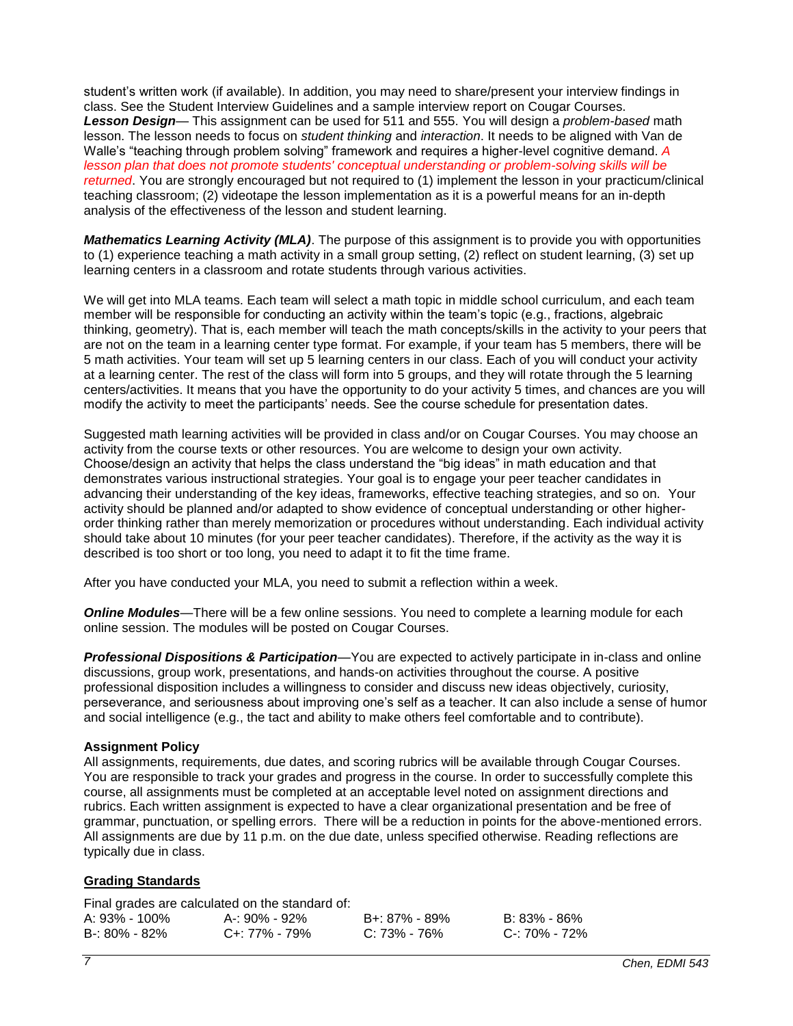student's written work (if available). In addition, you may need to share/present your interview findings in class. See the Student Interview Guidelines and a sample interview report on Cougar Courses. *Lesson Design*— This assignment can be used for 511 and 555. You will design a *problem-based* math lesson. The lesson needs to focus on *student thinking* and *interaction*. It needs to be aligned with Van de Walle's "teaching through problem solving" framework and requires a higher-level cognitive demand. *A lesson plan that does not promote students' conceptual understanding or problem-solving skills will be returned*. You are strongly encouraged but not required to (1) implement the lesson in your practicum/clinical teaching classroom; (2) videotape the lesson implementation as it is a powerful means for an in-depth analysis of the effectiveness of the lesson and student learning.

*Mathematics Learning Activity (MLA)*. The purpose of this assignment is to provide you with opportunities to (1) experience teaching a math activity in a small group setting, (2) reflect on student learning, (3) set up learning centers in a classroom and rotate students through various activities.

We will get into MLA teams. Each team will select a math topic in middle school curriculum, and each team member will be responsible for conducting an activity within the team's topic (e.g., fractions, algebraic thinking, geometry). That is, each member will teach the math concepts/skills in the activity to your peers that are not on the team in a learning center type format. For example, if your team has 5 members, there will be 5 math activities. Your team will set up 5 learning centers in our class. Each of you will conduct your activity at a learning center. The rest of the class will form into 5 groups, and they will rotate through the 5 learning centers/activities. It means that you have the opportunity to do your activity 5 times, and chances are you will modify the activity to meet the participants' needs. See the course schedule for presentation dates.

Suggested math learning activities will be provided in class and/or on Cougar Courses. You may choose an activity from the course texts or other resources. You are welcome to design your own activity. Choose/design an activity that helps the class understand the "big ideas" in math education and that demonstrates various instructional strategies. Your goal is to engage your peer teacher candidates in advancing their understanding of the key ideas, frameworks, effective teaching strategies, and so on. Your activity should be planned and/or adapted to show evidence of conceptual understanding or other higherorder thinking rather than merely memorization or procedures without understanding. Each individual activity should take about 10 minutes (for your peer teacher candidates). Therefore, if the activity as the way it is described is too short or too long, you need to adapt it to fit the time frame.

After you have conducted your MLA, you need to submit a reflection within a week.

*Online Modules*—There will be a few online sessions. You need to complete a learning module for each online session. The modules will be posted on Cougar Courses.

*Professional Dispositions & Participation*—You are expected to actively participate in in-class and online discussions, group work, presentations, and hands-on activities throughout the course. A positive professional disposition includes a willingness to consider and discuss new ideas objectively, curiosity, perseverance, and seriousness about improving one's self as a teacher. It can also include a sense of humor and social intelligence (e.g., the tact and ability to make others feel comfortable and to contribute).

## **Assignment Policy**

All assignments, requirements, due dates, and scoring rubrics will be available through Cougar Courses. You are responsible to track your grades and progress in the course. In order to successfully complete this course, all assignments must be completed at an acceptable level noted on assignment directions and rubrics. Each written assignment is expected to have a clear organizational presentation and be free of grammar, punctuation, or spelling errors. There will be a reduction in points for the above-mentioned errors. All assignments are due by 11 p.m. on the due date, unless specified otherwise. Reading reflections are typically due in class.

## **Grading Standards**

Final grades are calculated on the standard of:

| A: 93% - 100% | A-: 90% - 92%       | B+: 87% - 89%    | B: 83% - 86%  |
|---------------|---------------------|------------------|---------------|
| B-: 80% - 82% | $C_{+}$ : 77% - 79% | $C: 73\% - 76\%$ | C-: 70% - 72% |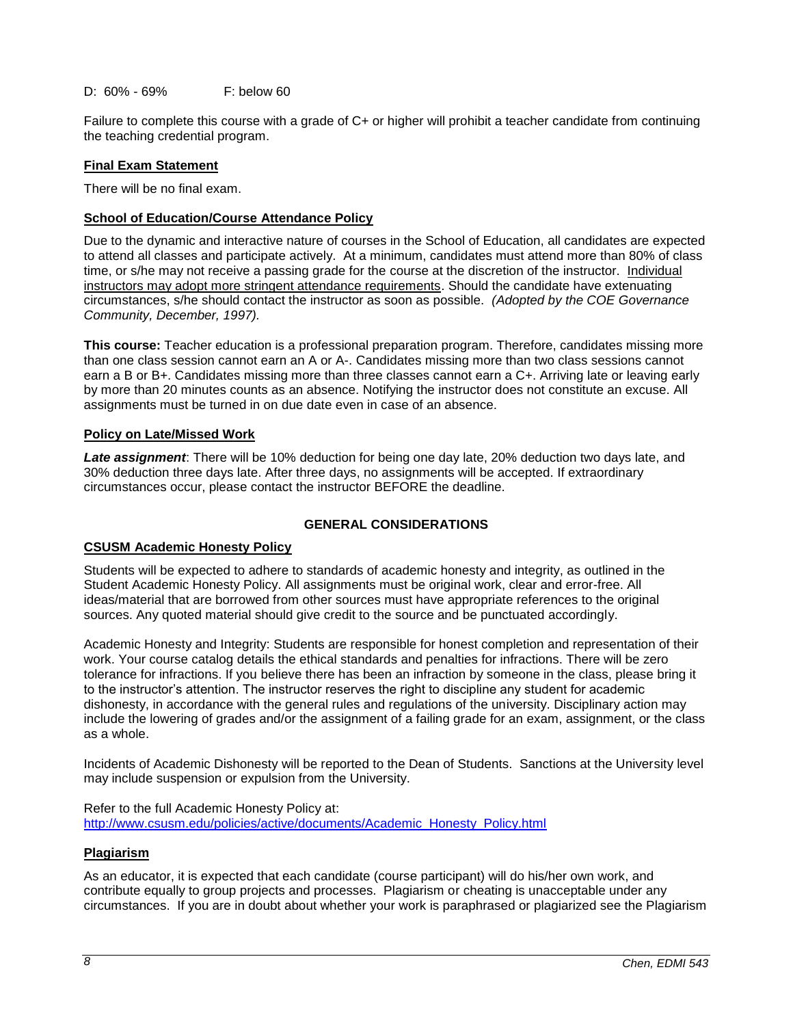D: 60% - 69% F: below 60

Failure to complete this course with a grade of C+ or higher will prohibit a teacher candidate from continuing the teaching credential program.

## **Final Exam Statement**

There will be no final exam.

### **School of Education/Course Attendance Policy**

Due to the dynamic and interactive nature of courses in the School of Education, all candidates are expected to attend all classes and participate actively. At a minimum, candidates must attend more than 80% of class time, or s/he may not receive a passing grade for the course at the discretion of the instructor. Individual instructors may adopt more stringent attendance requirements. Should the candidate have extenuating circumstances, s/he should contact the instructor as soon as possible. *(Adopted by the COE Governance Community, December, 1997).*

**This course:** Teacher education is a professional preparation program. Therefore, candidates missing more than one class session cannot earn an A or A-. Candidates missing more than two class sessions cannot earn a B or B+. Candidates missing more than three classes cannot earn a C+. Arriving late or leaving early by more than 20 minutes counts as an absence. Notifying the instructor does not constitute an excuse. All assignments must be turned in on due date even in case of an absence.

### **Policy on Late/Missed Work**

*Late assignment*: There will be 10% deduction for being one day late, 20% deduction two days late, and 30% deduction three days late. After three days, no assignments will be accepted. If extraordinary circumstances occur, please contact the instructor BEFORE the deadline.

### **GENERAL CONSIDERATIONS**

### **CSUSM Academic Honesty Policy**

Students will be expected to adhere to standards of academic honesty and integrity, as outlined in the Student Academic Honesty Policy. All assignments must be original work, clear and error-free. All ideas/material that are borrowed from other sources must have appropriate references to the original sources. Any quoted material should give credit to the source and be punctuated accordingly.

Academic Honesty and Integrity: Students are responsible for honest completion and representation of their work. Your course catalog details the ethical standards and penalties for infractions. There will be zero tolerance for infractions. If you believe there has been an infraction by someone in the class, please bring it to the instructor's attention. The instructor reserves the right to discipline any student for academic dishonesty, in accordance with the general rules and regulations of the university. Disciplinary action may include the lowering of grades and/or the assignment of a failing grade for an exam, assignment, or the class as a whole.

Incidents of Academic Dishonesty will be reported to the Dean of Students. Sanctions at the University level may include suspension or expulsion from the University.

Refer to the full Academic Honesty Policy at: [http://www.csusm.edu/policies/active/documents/Academic\\_Honesty\\_Policy.html](http://www.csusm.edu/policies/active/documents/Academic_Honesty_Policy.html)

### **Plagiarism**

As an educator, it is expected that each candidate (course participant) will do his/her own work, and contribute equally to group projects and processes. Plagiarism or cheating is unacceptable under any circumstances. If you are in doubt about whether your work is paraphrased or plagiarized see the Plagiarism